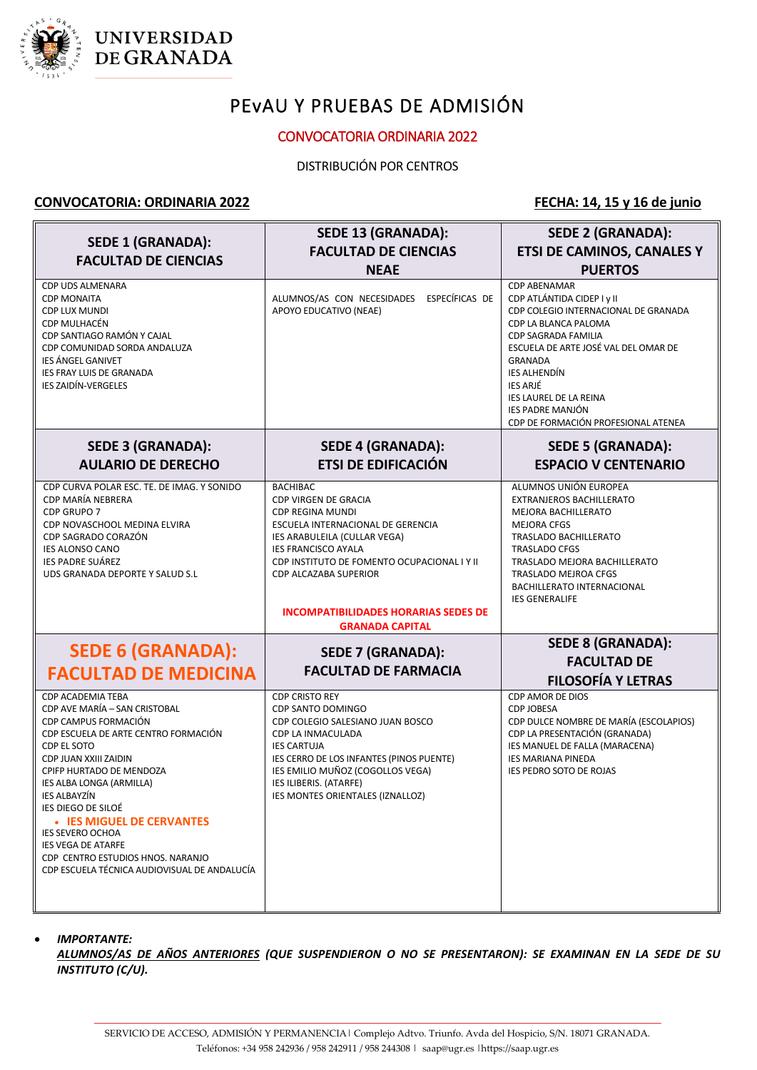

## **UNIVERSIDAD** DE GRANADA

# PEvAU Y PRUEBAS DE ADMISIÓN

### CONVOCATORIA ORDINARIA 2022

DISTRIBUCIÓN POR CENTROS

#### **CONVOCATORIA: ORDINARIA 2022 FECHA: 14, 15 y 16 de junio**

| <b>SEDE 1 (GRANADA):</b>                                                                                                                                                                                                                                                                                                                                                                                                           | <b>SEDE 13 (GRANADA):</b><br><b>FACULTAD DE CIENCIAS</b>                                                                                                                                                                                                                                                                      | <b>SEDE 2 (GRANADA):</b><br><b>ETSI DE CAMINOS, CANALES Y</b>                                                                                                                                                                                                                                                                                   |
|------------------------------------------------------------------------------------------------------------------------------------------------------------------------------------------------------------------------------------------------------------------------------------------------------------------------------------------------------------------------------------------------------------------------------------|-------------------------------------------------------------------------------------------------------------------------------------------------------------------------------------------------------------------------------------------------------------------------------------------------------------------------------|-------------------------------------------------------------------------------------------------------------------------------------------------------------------------------------------------------------------------------------------------------------------------------------------------------------------------------------------------|
| <b>FACULTAD DE CIENCIAS</b>                                                                                                                                                                                                                                                                                                                                                                                                        | <b>NEAE</b>                                                                                                                                                                                                                                                                                                                   | <b>PUERTOS</b>                                                                                                                                                                                                                                                                                                                                  |
| <b>CDP UDS ALMENARA</b><br><b>CDP MONAITA</b><br><b>CDP LUX MUNDI</b><br>CDP MULHACÉN<br>CDP SANTIAGO RAMÓN Y CAJAL<br>CDP COMUNIDAD SORDA ANDALUZA<br>IES ÁNGEL GANIVET<br>IES FRAY LUIS DE GRANADA<br><b>IES ZAIDÍN-VERGELES</b>                                                                                                                                                                                                 | ALUMNOS/AS CON NECESIDADES<br>ESPECÍFICAS DE<br>APOYO EDUCATIVO (NEAE)                                                                                                                                                                                                                                                        | <b>CDP ABENAMAR</b><br>CDP ATLÁNTIDA CIDEP I y II<br>CDP COLEGIO INTERNACIONAL DE GRANADA<br>CDP LA BLANCA PALOMA<br><b>CDP SAGRADA FAMILIA</b><br>ESCUELA DE ARTE JOSÉ VAL DEL OMAR DE<br><b>GRANADA</b><br><b>IES ALHENDÍN</b><br><b>IES ARJÉ</b><br>IES LAUREL DE LA REINA<br><b>IES PADRE MANJÓN</b><br>CDP DE FORMACIÓN PROFESIONAL ATENEA |
| <b>SEDE 3 (GRANADA):</b><br><b>AULARIO DE DERECHO</b>                                                                                                                                                                                                                                                                                                                                                                              | <b>SEDE 4 (GRANADA):</b><br><b>ETSI DE EDIFICACIÓN</b>                                                                                                                                                                                                                                                                        | <b>SEDE 5 (GRANADA):</b><br><b>ESPACIO V CENTENARIO</b>                                                                                                                                                                                                                                                                                         |
| CDP CURVA POLAR ESC. TE. DE IMAG. Y SONIDO<br>CDP MARÍA NEBRERA<br>CDP GRUPO 7<br>CDP NOVASCHOOL MEDINA ELVIRA<br>CDP SAGRADO CORAZÓN<br><b>IES ALONSO CANO</b><br><b>IES PADRE SUÁREZ</b><br>UDS GRANADA DEPORTE Y SALUD S.L                                                                                                                                                                                                      | <b>BACHIBAC</b><br>CDP VIRGEN DE GRACIA<br><b>CDP REGINA MUNDI</b><br>ESCUELA INTERNACIONAL DE GERENCIA<br>IES ARABULEILA (CULLAR VEGA)<br><b>IES FRANCISCO AYALA</b><br>CDP INSTITUTO DE FOMENTO OCUPACIONAL I Y II<br><b>CDP ALCAZABA SUPERIOR</b><br><b>INCOMPATIBILIDADES HORARIAS SEDES DE</b><br><b>GRANADA CAPITAL</b> | ALUMNOS UNIÓN EUROPEA<br>EXTRANJEROS BACHILLERATO<br><b>MEJORA BACHILLERATO</b><br><b>MEJORA CFGS</b><br>TRASLADO BACHILLERATO<br><b>TRASLADO CFGS</b><br>TRASLADO MEJORA BACHILLERATO<br><b>TRASLADO MEJROA CFGS</b><br>BACHILLERATO INTERNACIONAL<br><b>IES GENERALIFE</b>                                                                    |
| <b>SEDE 6 (GRANADA):</b><br><b>FACULTAD DE MEDICINA</b>                                                                                                                                                                                                                                                                                                                                                                            | <b>SEDE 7 (GRANADA):</b><br><b>FACULTAD DE FARMACIA</b>                                                                                                                                                                                                                                                                       | <b>SEDE 8 (GRANADA):</b><br><b>FACULTAD DE</b><br><b>FILOSOFÍA Y LETRAS</b>                                                                                                                                                                                                                                                                     |
| CDP ACADEMIA TEBA<br>CDP AVE MARÍA - SAN CRISTOBAL<br>CDP CAMPUS FORMACIÓN<br>CDP ESCUELA DE ARTE CENTRO FORMACIÓN<br>CDP EL SOTO<br>CDP JUAN XXIII ZAIDIN<br>CPIFP HURTADO DE MENDOZA<br>IES ALBA LONGA (ARMILLA)<br>IES ALBAYZÍN<br>ies diego de Siloé<br>• IES MIGUEL DE CERVANTES<br><b>IES SEVERO OCHOA</b><br><b>IES VEGA DE ATARFE</b><br>CDP CENTRO ESTUDIOS HNOS. NARANJO<br>CDP ESCUELA TÉCNICA AUDIOVISUAL DE ANDALUCÍA | <b>CDP CRISTO REY</b><br>CDP SANTO DOMINGO<br>CDP COLEGIO SALESIANO JUAN BOSCO<br>CDP LA INMACULADA<br><b>IES CARTUJA</b><br>IES CERRO DE LOS INFANTES (PINOS PUENTE)<br>IES EMILIO MUÑOZ (COGOLLOS VEGA)<br>IES ILIBERIS. (ATARFE)<br>IES MONTES ORIENTALES (IZNALLOZ)                                                       | CDP AMOR DE DIOS<br><b>CDP JOBESA</b><br>CDP DULCE NOMBRE DE MARÍA (ESCOLAPIOS)<br>CDP LA PRESENTACIÓN (GRANADA)<br>IES MANUEL DE FALLA (MARACENA)<br><b>IES MARIANA PINEDA</b><br>IES PEDRO SOTO DE ROJAS                                                                                                                                      |

#### *IMPORTANTE:*

*ALUMNOS/AS DE AÑOS ANTERIORES (QUE SUSPENDIERON O NO SE PRESENTARON): SE EXAMINAN EN LA SEDE DE SU INSTITUTO (C/U).*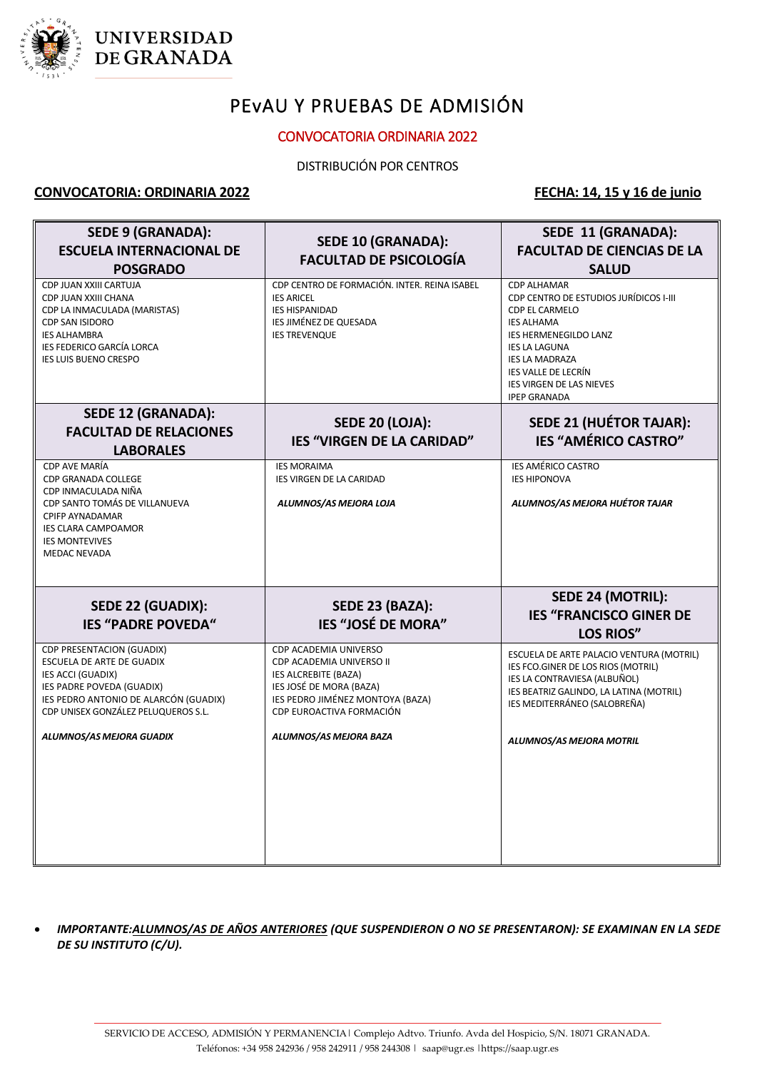

## **UNIVERSIDAD** DE GRANADA

# PEvAU Y PRUEBAS DE ADMISIÓN

#### CONVOCATORIA ORDINARIA 2022

#### DISTRIBUCIÓN POR CENTROS

#### **CONVOCATORIA: ORDINARIA 2022 FECHA: 14, 15 y 16 de junio**

| <b>SEDE 9 (GRANADA):</b><br><b>ESCUELA INTERNACIONAL DE</b><br><b>POSGRADO</b>                                                                                                                                              | <b>SEDE 10 (GRANADA):</b><br><b>FACULTAD DE PSICOLOGÍA</b>                                                                                                                                            | SEDE 11 (GRANADA):<br><b>FACULTAD DE CIENCIAS DE LA</b><br><b>SALUD</b>                                                                                                                                                                                               |
|-----------------------------------------------------------------------------------------------------------------------------------------------------------------------------------------------------------------------------|-------------------------------------------------------------------------------------------------------------------------------------------------------------------------------------------------------|-----------------------------------------------------------------------------------------------------------------------------------------------------------------------------------------------------------------------------------------------------------------------|
| CDP JUAN XXIII CARTUJA<br>CDP JUAN XXIII CHANA<br>CDP LA INMACULADA (MARISTAS)<br><b>CDP SAN ISIDORO</b><br><b>IES ALHAMBRA</b><br><b>IES FEDERICO GARCÍA LORCA</b><br><b>IES LUIS BUENO CRESPO</b>                         | CDP CENTRO DE FORMACIÓN. INTER. REINA ISABEL<br><b>IES ARICEL</b><br><b>IES HISPANIDAD</b><br><b>IES JIMÉNEZ DE QUESADA</b><br><b>IES TREVENQUE</b>                                                   | <b>CDP ALHAMAR</b><br>CDP CENTRO DE ESTUDIOS JURÍDICOS I-III<br>CDP EL CARMELO<br><b>IES ALHAMA</b><br><b>IES HERMENEGILDO LANZ</b><br><b>IES LA LAGUNA</b><br><b>IES LA MADRAZA</b><br><b>IES VALLE DE LECRÍN</b><br>IES VIRGEN DE LAS NIEVES<br><b>IPEP GRANADA</b> |
| <b>SEDE 12 (GRANADA):</b><br><b>FACULTAD DE RELACIONES</b><br><b>LABORALES</b>                                                                                                                                              | <b>SEDE 20 (LOJA):</b><br><b>IES "VIRGEN DE LA CARIDAD"</b>                                                                                                                                           | <b>SEDE 21 (HUÉTOR TAJAR):</b><br><b>IES "AMÉRICO CASTRO"</b>                                                                                                                                                                                                         |
| CDP AVE MARÍA<br><b>CDP GRANADA COLLEGE</b><br>CDP INMACULADA NIÑA<br>CDP SANTO TOMÁS DE VILLANUEVA<br><b>CPIFP AYNADAMAR</b><br>IES CLARA CAMPOAMOR<br><b>IES MONTEVIVES</b><br><b>MEDAC NEVADA</b>                        | <b>IES MORAIMA</b><br>IES VIRGEN DE LA CARIDAD<br>ALUMNOS/AS MEJORA LOJA                                                                                                                              | <b>IES AMÉRICO CASTRO</b><br><b>IES HIPONOVA</b><br>ALUMNOS/AS MEJORA HUÉTOR TAJAR                                                                                                                                                                                    |
| SEDE 22 (GUADIX):<br><b>IES "PADRE POVEDA"</b>                                                                                                                                                                              | SEDE 23 (BAZA):<br><b>IES "JOSÉ DE MORA"</b>                                                                                                                                                          | <b>SEDE 24 (MOTRIL):</b><br><b>IES "FRANCISCO GINER DE</b><br><b>LOS RIOS"</b>                                                                                                                                                                                        |
| CDP PRESENTACION (GUADIX)<br>ESCUELA DE ARTE DE GUADIX<br><b>IES ACCI (GUADIX)</b><br>IES PADRE POVEDA (GUADIX)<br>IES PEDRO ANTONIO DE ALARCÓN (GUADIX)<br>CDP UNISEX GONZÁLEZ PELUQUEROS S.L.<br>ALUMNOS/AS MEJORA GUADIX | CDP ACADEMIA UNIVERSO<br>CDP ACADEMIA UNIVERSO II<br><b>IES ALCREBITE (BAZA)</b><br>IES JOSÉ DE MORA (BAZA)<br>IES PEDRO JIMÉNEZ MONTOYA (BAZA)<br>CDP EUROACTIVA FORMACIÓN<br>ALUMNOS/AS MEJORA BAZA | ESCUELA DE ARTE PALACIO VENTURA (MOTRIL)<br>IES FCO.GINER DE LOS RIOS (MOTRIL)<br>IES LA CONTRAVIESA (ALBUÑOL)<br>IES BEATRIZ GALINDO, LA LATINA (MOTRIL)<br>IES MEDITERRÁNEO (SALOBREÑA)<br>ALUMNOS/AS MEJORA MOTRIL                                                 |

 *IMPORTANTE:ALUMNOS/AS DE AÑOS ANTERIORES (QUE SUSPENDIERON O NO SE PRESENTARON): SE EXAMINAN EN LA SEDE DE SU INSTITUTO (C/U).*